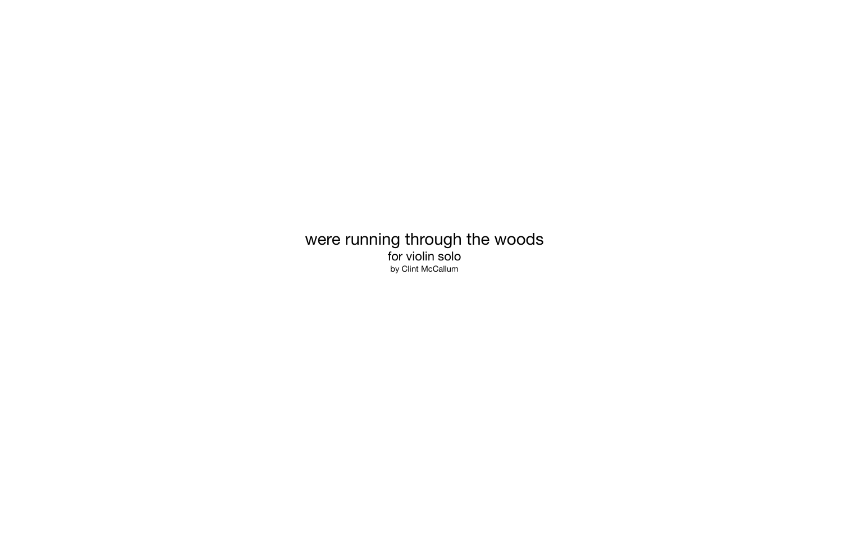were running through the woods for violin solo by Clint McCallum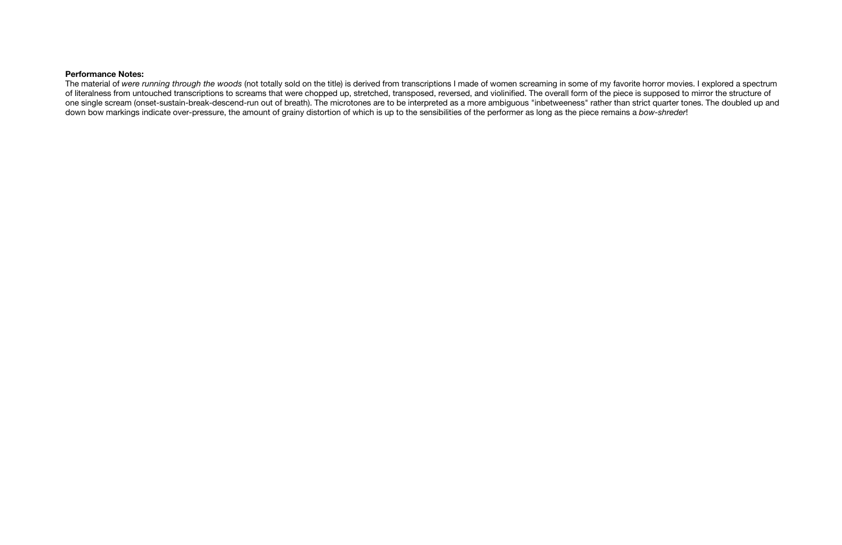## **Performance Notes:**

The material of were running through the woods (not totally sold on the title) is derived from transcriptions I made of women screaming in some of my favorite horror movies. I explored a spectrum of literalness from untouched transcriptions to screams that were chopped up, stretched, transposed, reversed, and violinified. The overall form of the piece is supposed to mirror the structure of one single scream (onset-sustain-break-descend-run out of breath). The microtones are to be interpreted as a more ambiguous "inbetweeness" rather than strict quarter tones. The doubled up and down bow markings indicate over-pressure, the amount of grainy distortion of which is up to the sensibilities of the performer as long as the piece remains a *bow-shreder*!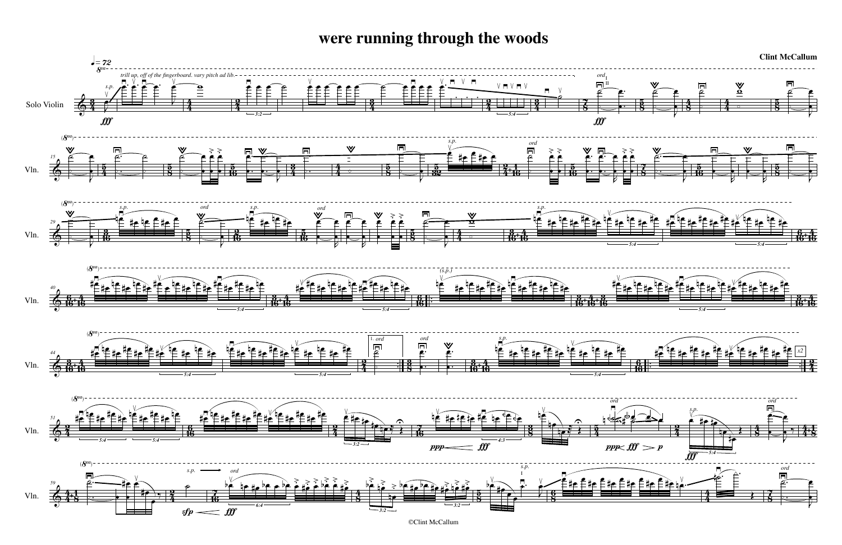

**Clint McCallum**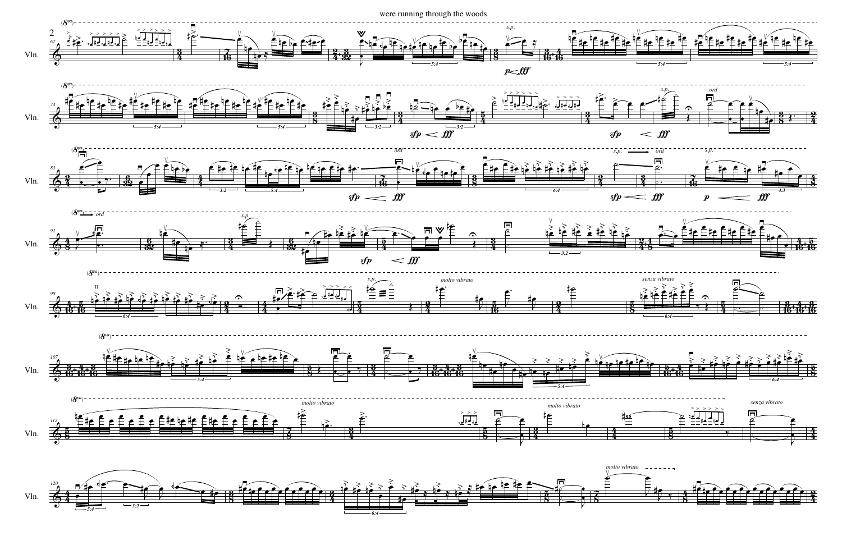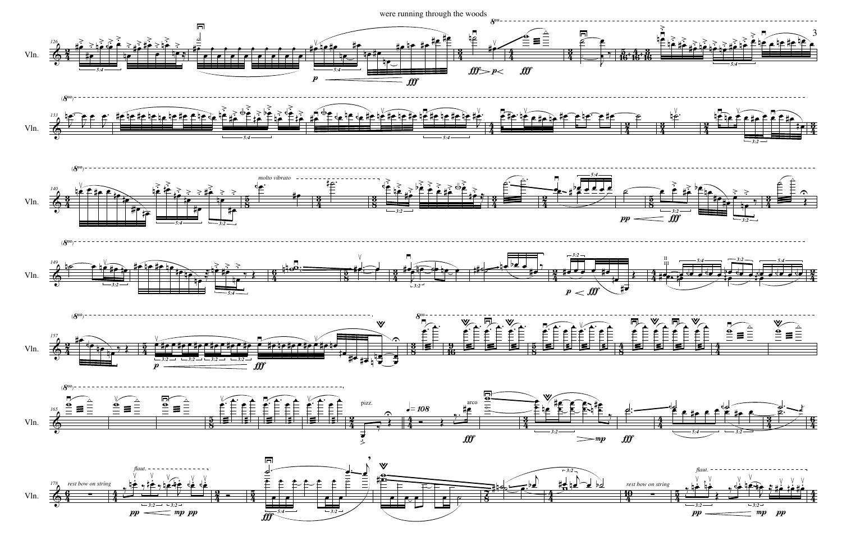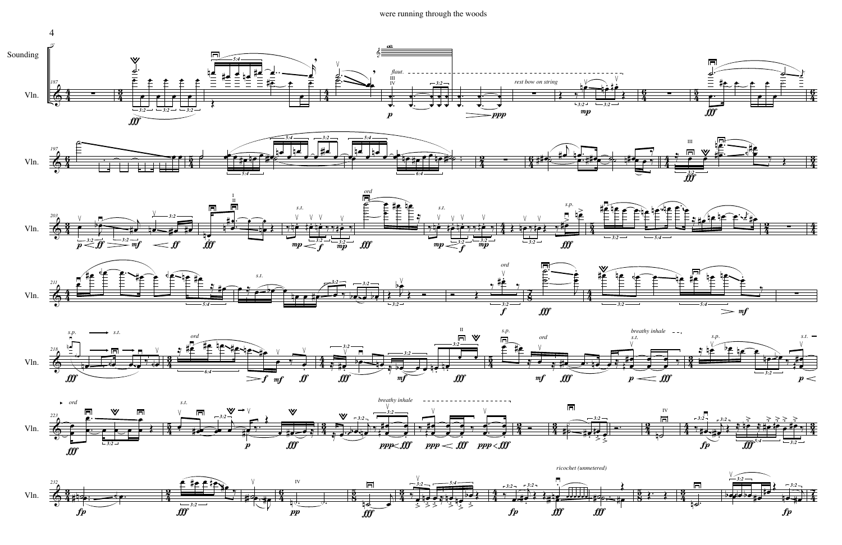











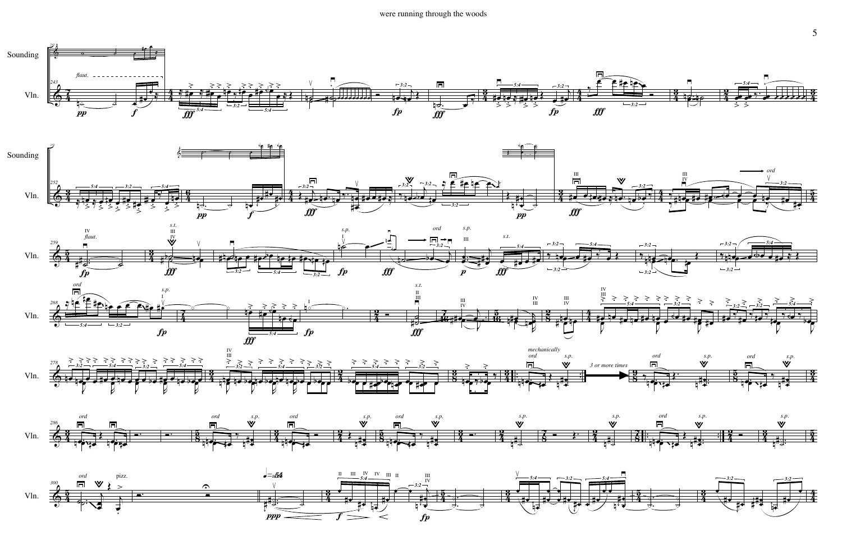











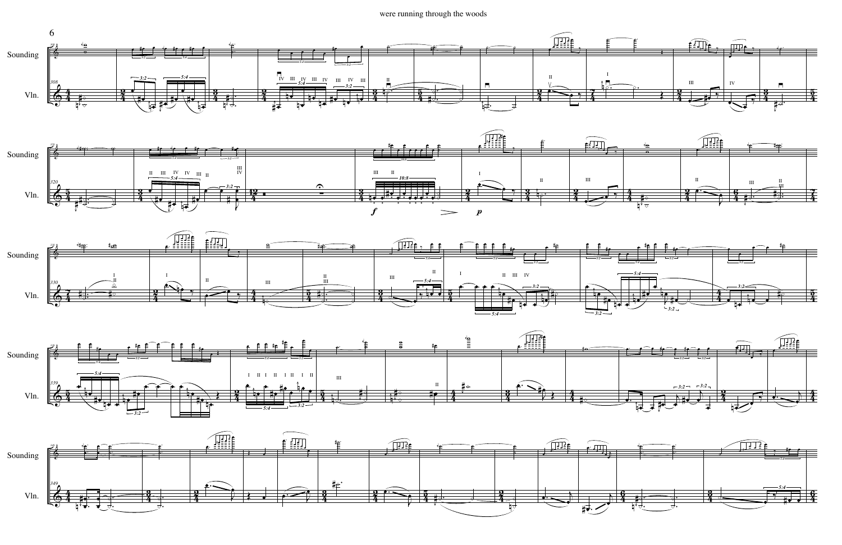